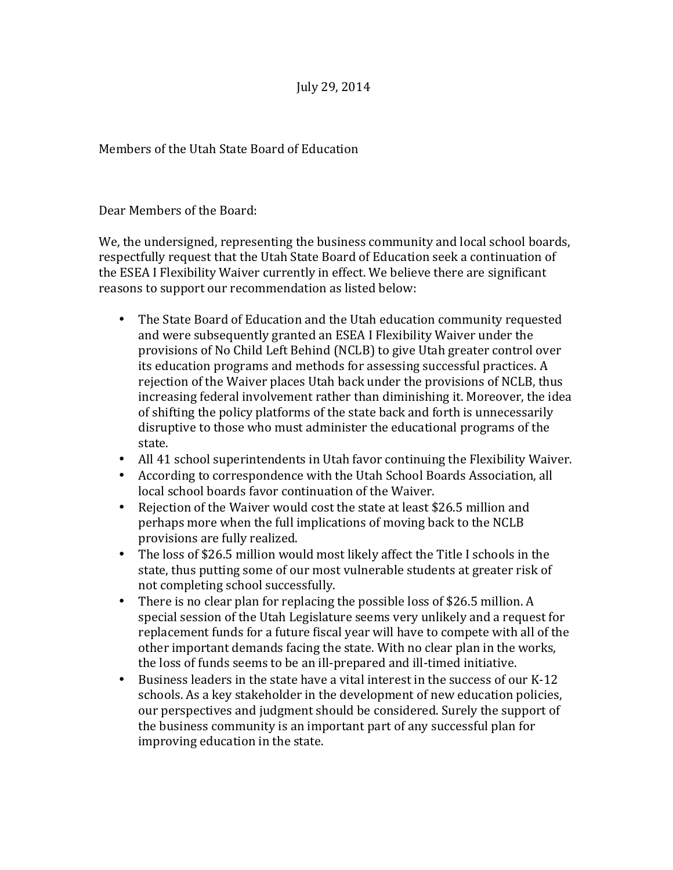## July 29, 2014

Members of the Utah State Board of Education

Dear Members of the Board:

We, the undersigned, representing the business community and local school boards, respectfully request that the Utah State Board of Education seek a continuation of the ESEA I Flexibility Waiver currently in effect. We believe there are significant reasons to support our recommendation as listed below:

- The State Board of Education and the Utah education community requested and were subsequently granted an ESEA I Flexibility Waiver under the provisions of No Child Left Behind (NCLB) to give Utah greater control over its education programs and methods for assessing successful practices. A rejection of the Waiver places Utah back under the provisions of NCLB, thus increasing federal involvement rather than diminishing it. Moreover, the idea of shifting the policy platforms of the state back and forth is unnecessarily disruptive to those who must administer the educational programs of the state.
- All 41 school superintendents in Utah favor continuing the Flexibility Waiver.
- According to correspondence with the Utah School Boards Association, all local school boards favor continuation of the Waiver.
- Rejection of the Waiver would cost the state at least \$26.5 million and perhaps more when the full implications of moving back to the NCLB provisions are fully realized.
- The loss of \$26.5 million would most likely affect the Title I schools in the state, thus putting some of our most vulnerable students at greater risk of not completing school successfully.
- There is no clear plan for replacing the possible loss of \$26.5 million. A special session of the Utah Legislature seems very unlikely and a request for replacement funds for a future fiscal year will have to compete with all of the other important demands facing the state. With no clear plan in the works, the loss of funds seems to be an ill-prepared and ill-timed initiative.
- Business leaders in the state have a vital interest in the success of our K-12 schools. As a key stakeholder in the development of new education policies, our perspectives and judgment should be considered. Surely the support of the business community is an important part of any successful plan for improving education in the state.